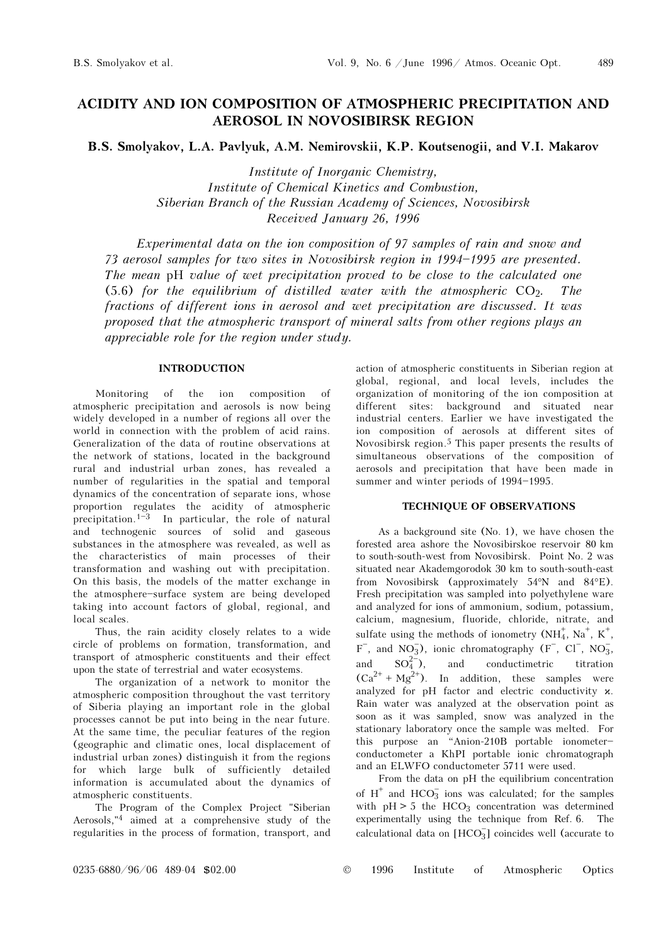489

# ACIDITY AND ION COMPOSITION OF ATMOSPHERIC PRECIPITATION AND AEROSOL IN NOVOSIBIRSK REGION

B.S. Smolyakov, L.A. Pavlyuk, A.M. Nemirovskii, K.P. Koutsenogii, and V.I. Makarov

Institute of Inorganic Chemistry, Institute of Chemical Kinetics and Combustion, Siberian Branch of the Russian Academy of Sciences, Novosibirsk Received January 26, 1996

Experimental data on the ion composition of 97 samples of rain and snow and 73 aerosol samples for two sites in Novosibirsk region in 1994-1995 are presented. The mean pH value of wet precipitation proved to be close to the calculated one (5.6) for the equilibrium of distilled water with the atmospheric  $CO<sub>2</sub>$ . The fractions of different ions in aerosol and wet precipitation are discussed. It was proposed that the atmospheric transport of mineral salts from other regions plays an appreciable role for the region under study.

## INTRODUCTION

Monitoring of the ion composition of atmospheric precipitation and aerosols is now being widely developed in a number of regions all over the world in connection with the problem of acid rains. Generalization of the data of routine observations at the network of stations, located in the background rural and industrial urban zones, has revealed a number of regularities in the spatial and temporal dynamics of the concentration of separate ions, whose proportion regulates the acidity of atmospheric precipitation.<sup>1-3</sup> In particular, the role of natural and technogenic sources of solid and gaseous substances in the atmosphere was revealed, as well as the characteristics of main processes of their transformation and washing out with precipitation. On this basis, the models of the matter exchange in the atmosphere-surface system are being developed taking into account factors of global, regional, and local scales.

Thus, the rain acidity closely relates to a wide circle of problems on formation, transformation, and transport of atmospheric constituents and their effect upon the state of terrestrial and water ecosystems.

The organization of a network to monitor the atmospheric composition throughout the vast territory of Siberia playing an important role in the global processes cannot be put into being in the near future. At the same time, the peculiar features of the region (geographic and climatic ones, local displacement of industrial urban zones) distinguish it from the regions for which large bulk of sufficiently detailed information is accumulated about the dynamics of atmospheric constituents.

The Program of the Complex Project "Siberian Aerosols,"4 aimed at a comprehensive study of the regularities in the process of formation, transport, and action of atmospheric constituents in Siberian region at global, regional, and local levels, includes the organization of monitoring of the ion composition at different sites: background and situated near industrial centers. Earlier we have investigated the ion composition of aerosols at different sites of Novosibirsk region.5 This paper presents the results of simultaneous observations of the composition of aerosols and precipitation that have been made in summer and winter periods of 1994-1995.

### TECHNIQUE OF OBSERVATIONS

As a background site (No. 1), we have chosen the forested area ashore the Novosibirskoe reservoir 80 km to south-south-west from Novosibirsk. Point No. 2 was situated near Akademgorodok 30 km to south-south-east from Novosibirsk (approximately 54°N and 84°E). Fresh precipitation was sampled into polyethylene ware and analyzed for ions of ammonium, sodium, potassium, calcium, magnesium, fluoride, chloride, nitrate, and sulfate using the methods of ionometry  $(NH_4^+, Na^+, K^+,$  $F^-$ , and NO<sub>3</sub>), ionic chromatography  $(F^-, C]^-$ , NO<sub>3</sub>, and  $SO_4^{2-}$ ), and conductimetric titration  $(Ca^{2+} + Mg^{2+})$ . In addition, these samples were analyzed for pH factor and electric conductivity  $x$ . Rain water was analyzed at the observation point as soon as it was sampled, snow was analyzed in the stationary laboratory once the sample was melted. For this purpose an "Anion-210B portable ionometerconductometer a KhPI portable ionic chromatograph and an ELWFO conductometer 5711 were used.

From the data on pH the equilibrium concentration of  $H^+$  and  $HCO_3^-$  ions was calculated; for the samples with  $pH > 5$  the HCO<sub>3</sub> concentration was determined experimentally using the technique from Ref. 6. The calculational data on  $[HCO_3^-]$  coincides well (accurate to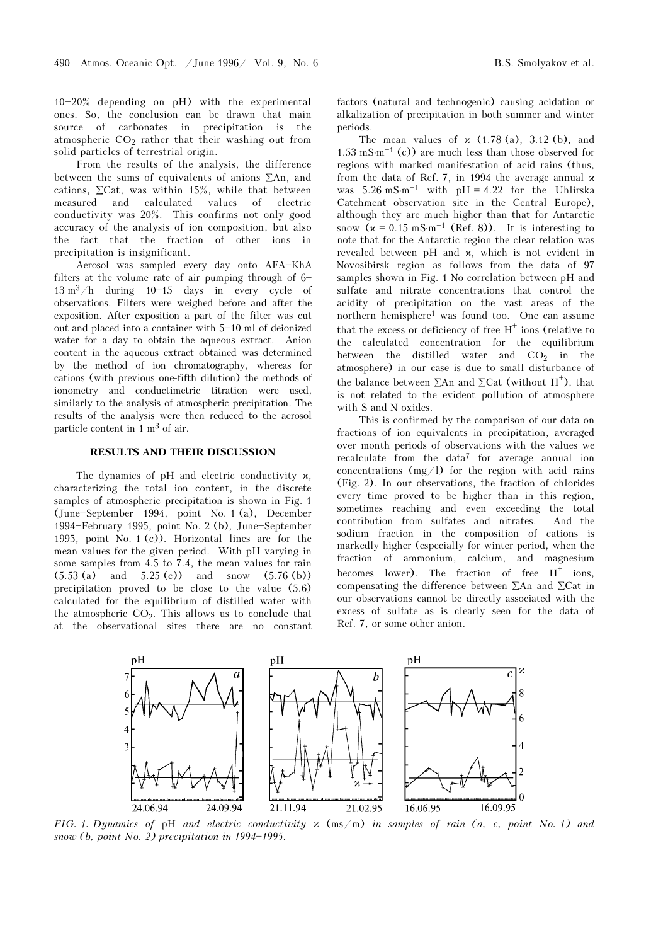$10-20%$  depending on pH) with the experimental ones. So, the conclusion can be drawn that main source of carbonates in precipitation is the atmospheric  $CO<sub>2</sub>$  rather that their washing out from solid particles of terrestrial origin.

From the results of the analysis, the difference between the sums of equivalents of anions ∑An, and cations,  $\Sigma$ Cat, was within 15%, while that between measured and calculated values of electric conductivity was 20%. This confirms not only good accuracy of the analysis of ion composition, but also the fact that the fraction of other ions in precipitation is insignificant.

Aerosol was sampled every day onto AFA-KhA filters at the volume rate of air pumping through of  $6 13 \text{ m}^3/\text{h}$  during  $10-15$  days in every cycle of observations. Filters were weighed before and after the exposition. After exposition a part of the filter was cut out and placed into a container with  $5-10$  ml of deionized water for a day to obtain the aqueous extract. Anion content in the aqueous extract obtained was determined by the method of ion chromatography, whereas for cations (with previous one-fifth dilution) the methods of ionometry and conductimetric titration were used, similarly to the analysis of atmospheric precipitation. The results of the analysis were then reduced to the aerosol particle content in 1 m3 of air.

## RESULTS AND THEIR DISCUSSION

The dynamics of  $pH$  and electric conductivity  $x$ , characterizing the total ion content, in the discrete samples of atmospheric precipitation is shown in Fig. 1  $(June-September 1994, point No. 1 (a), December$ 1994 $-Fe$ bruary 1995, point No. 2 (b), June $-September$ 1995, point No. 1 (c)). Horizontal lines are for the mean values for the given period. With pH varying in some samples from 4.5 to 7.4, the mean values for rain  $(5.53 \text{ (a)} \quad \text{and} \quad 5.25 \text{ (c)}) \quad \text{and} \quad \text{snow} \quad (5.76 \text{ (b)})$ precipitation proved to be close to the value (5.6) calculated for the equilibrium of distilled water with the atmospheric  $CO<sub>2</sub>$ . This allows us to conclude that at the observational sites there are no constant factors (natural and technogenic) causing acidation or alkalization of precipitation in both summer and winter periods.

The mean values of  $x$  (1.78 (a), 3.12 (b), and  $1.53 \text{ mS·m}^{-1}$  (c)) are much less than those observed for regions with marked manifestation of acid rains (thus, from the data of Ref. 7, in 1994 the average annual  $x$ was  $5.26 \text{ mS} \cdot \text{m}^{-1}$  with pH = 4.22 for the Uhlirska Catchment observation site in the Central Europe), although they are much higher than that for Antarctic snow  $(x = 0.15 \text{ mS} \cdot \text{m}^{-1}$  (Ref. 8)). It is interesting to note that for the Antarctic region the clear relation was revealed between  $pH$  and  $x$ , which is not evident in Novosibirsk region as follows from the data of 97 samples shown in Fig. 1 No correlation between pH and sulfate and nitrate concentrations that control the acidity of precipitation on the vast areas of the northern hemisphere1 was found too. One can assume that the excess or deficiency of free  $H^+$  ions (relative to the calculated concentration for the equilibrium between the distilled water and  $CO<sub>2</sub>$  in the atmosphere) in our case is due to small disturbance of the balance between  $\Sigma$ An and  $\Sigma$ Cat (without H<sup>+</sup>), that is not related to the evident pollution of atmosphere with S and N oxides.

This is confirmed by the comparison of our data on fractions of ion equivalents in precipitation, averaged over month periods of observations with the values we recalculate from the data<sup>7</sup> for average annual ion concentrations  $(mg/l)$  for the region with acid rains (Fig. 2). In our observations, the fraction of chlorides every time proved to be higher than in this region, sometimes reaching and even exceeding the total contribution from sulfates and nitrates. And the sodium fraction in the composition of cations is markedly higher (especially for winter period, when the fraction of ammonium, calcium, and magnesium becomes lower). The fraction of free  $H^+$  ions, compensating the difference between ∑An and ∑Cat in our observations cannot be directly associated with the excess of sulfate as is clearly seen for the data of Ref. 7, or some other anion.



FIG. 1. Dynamics of pH and electric conductivity  $x \text{ (ms/m)}$  in samples of rain (a, c, point No. 1) and snow (b, point No. 2) precipitation in  $1994-1995$ .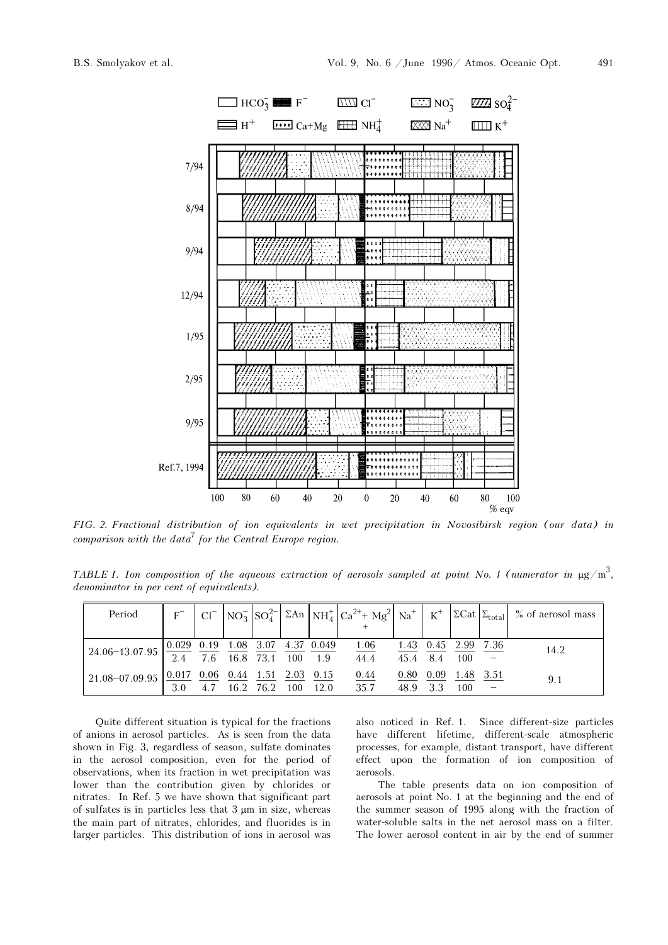

FIG. 2. Fractional distribution of ion equivalents in wet precipitation in Novosibirsk region (our data) in comparison with the data<sup>7</sup> for the Central Europe region.

TABLE I. Ion composition of the aqueous extraction of aerosols sampled at point No. 1 (numerator in  $\mu$ g/m<sup>3</sup>, denominator in per cent of equivalents).

| Period                                                                                                                                                                |     |  |           |          |                     |      |          |                             | $ C $ $ NO_3^- SO_4^{2-} $ $\Sigma An$ $ NH_4^+ Ca^{2+}+Mg^2 $ $Na^+ K^+ 2Cat $ $\Sigma_{total} $ % of aerosol mass |
|-----------------------------------------------------------------------------------------------------------------------------------------------------------------------|-----|--|-----------|----------|---------------------|------|----------|-----------------------------|---------------------------------------------------------------------------------------------------------------------|
|                                                                                                                                                                       |     |  |           |          |                     |      |          |                             |                                                                                                                     |
| $24.06-13.07.95 \begin{array}{ l} 0.029 \\ 2.4 \end{array} \frac{0.19}{7.6} \frac{1.08}{16.8} \frac{3.07}{73.1} \frac{4.37}{100} \frac{0.049}{1.9} \frac{1.06}{44.4}$ |     |  |           |          |                     |      |          | $1.43$ $0.45$ $2.99$ $7.36$ | 14.2                                                                                                                |
|                                                                                                                                                                       |     |  |           |          |                     |      | 45.4 8.4 | 100                         |                                                                                                                     |
| $121.08-07.09.95$ $0.017$ $0.06$ $0.44$ $1.51$ $2.03$ $0.15$                                                                                                          |     |  |           |          |                     | 0.80 | 0.09     | 1.48 3.51                   | 9.1                                                                                                                 |
|                                                                                                                                                                       | 3.0 |  | 16.2 76.2 | 100 12.0 | $\frac{0.44}{35.7}$ | 48.9 |          | 100                         |                                                                                                                     |

Quite different situation is typical for the fractions of anions in aerosol particles. As is seen from the data shown in Fig. 3, regardless of season, sulfate dominates in the aerosol composition, even for the period of observations, when its fraction in wet precipitation was lower than the contribution given by chlorides or nitrates. In Ref. 5 we have shown that significant part of sulfates is in particles less that 3 μm in size, whereas the main part of nitrates, chlorides, and fluorides is in larger particles. This distribution of ions in aerosol was also noticed in Ref. 1. Since different-size particles have different lifetime, different-scale atmospheric processes, for example, distant transport, have different effect upon the formation of ion composition of aerosols.

The table presents data on ion composition of aerosols at point No. 1 at the beginning and the end of the summer season of 1995 along with the fraction of water-soluble salts in the net aerosol mass on a filter. The lower aerosol content in air by the end of summer